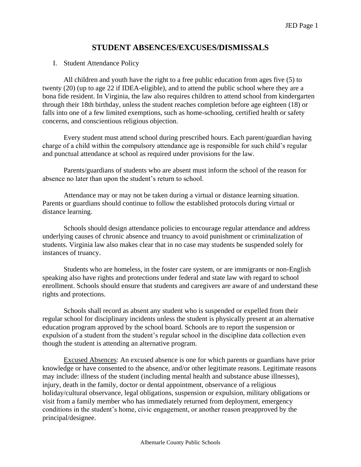# **STUDENT ABSENCES/EXCUSES/DISMISSALS**

#### I. Student Attendance Policy

All children and youth have the right to a free public education from ages five (5) to twenty (20) (up to age 22 if IDEA-eligible), and to attend the public school where they are a bona fide resident. In Virginia, the law also requires children to attend school from kindergarten through their 18th birthday, unless the student reaches completion before age eighteen (18) or falls into one of a few limited exemptions, such as home-schooling, certified health or safety concerns, and conscientious religious objection.

Every student must attend school during prescribed hours. Each parent/guardian having charge of a child within the compulsory attendance age is responsible for such child's regular and punctual attendance at school as required under provisions for the law.

Parents/guardians of students who are absent must inform the school of the reason for absence no later than upon the student's return to school.

Attendance may or may not be taken during a virtual or distance learning situation. Parents or guardians should continue to follow the established protocols during virtual or distance learning.

Schools should design attendance policies to encourage regular attendance and address underlying causes of chronic absence and truancy to avoid punishment or criminalization of students. Virginia law also makes clear that in no case may students be suspended solely for instances of truancy.

Students who are homeless, in the foster care system, or are immigrants or non-English speaking also have rights and protections under federal and state law with regard to school enrollment. Schools should ensure that students and caregivers are aware of and understand these rights and protections.

Schools shall record as absent any student who is suspended or expelled from their regular school for disciplinary incidents unless the student is physically present at an alternative education program approved by the school board. Schools are to report the suspension or expulsion of a student from the student's regular school in the discipline data collection even though the student is attending an alternative program.

Excused Absences: An excused absence is one for which parents or guardians have prior knowledge or have consented to the absence, and/or other legitimate reasons. Legitimate reasons may include: illness of the student (including mental health and substance abuse illnesses), injury, death in the family, doctor or dental appointment, observance of a religious holiday/cultural observance, legal obligations, suspension or expulsion, military obligations or visit from a family member who has immediately returned from deployment, emergency conditions in the student's home, civic engagement, or another reason preapproved by the principal/designee.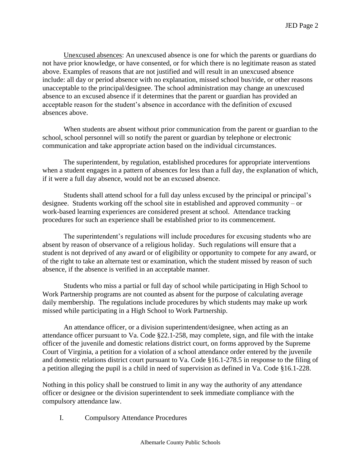Unexcused absences: An unexcused absence is one for which the parents or guardians do not have prior knowledge, or have consented, or for which there is no legitimate reason as stated above. Examples of reasons that are not justified and will result in an unexcused absence include: all day or period absence with no explanation, missed school bus/ride, or other reasons unacceptable to the principal/designee. The school administration may change an unexcused absence to an excused absence if it determines that the parent or guardian has provided an acceptable reason for the student's absence in accordance with the definition of excused absences above.

When students are absent without prior communication from the parent or guardian to the school, school personnel will so notify the parent or guardian by telephone or electronic communication and take appropriate action based on the individual circumstances.

The superintendent, by regulation, established procedures for appropriate interventions when a student engages in a pattern of absences for less than a full day, the explanation of which, if it were a full day absence, would not be an excused absence.

Students shall attend school for a full day unless excused by the principal or principal's designee. Students working off the school site in established and approved community – or work-based learning experiences are considered present at school. Attendance tracking procedures for such an experience shall be established prior to its commencement.

The superintendent's regulations will include procedures for excusing students who are absent by reason of observance of a religious holiday. Such regulations will ensure that a student is not deprived of any award or of eligibility or opportunity to compete for any award, or of the right to take an alternate test or examination, which the student missed by reason of such absence, if the absence is verified in an acceptable manner.

Students who miss a partial or full day of school while participating in High School to Work Partnership programs are not counted as absent for the purpose of calculating average daily membership. The regulations include procedures by which students may make up work missed while participating in a High School to Work Partnership.

An attendance officer, or a division superintendent/designee, when acting as an attendance officer pursuant to Va. Code §22.1-258, may complete, sign, and file with the intake officer of the juvenile and domestic relations district court, on forms approved by the Supreme Court of Virginia, a petition for a violation of a school attendance order entered by the juvenile and domestic relations district court pursuant to Va. Code §16.1-278.5 in response to the filing of a petition alleging the pupil is a child in need of supervision as defined in Va. Code §16.1-228.

Nothing in this policy shall be construed to limit in any way the authority of any attendance officer or designee or the division superintendent to seek immediate compliance with the compulsory attendance law.

I. Compulsory Attendance Procedures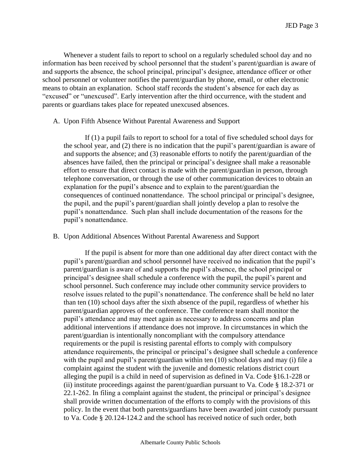Whenever a student fails to report to school on a regularly scheduled school day and no information has been received by school personnel that the student's parent/guardian is aware of and supports the absence, the school principal, principal's designee, attendance officer or other school personnel or volunteer notifies the parent/guardian by phone, email, or other electronic means to obtain an explanation. School staff records the student's absence for each day as "excused" or "unexcused". Early intervention after the third occurrence, with the student and parents or guardians takes place for repeated unexcused absences.

#### A. Upon Fifth Absence Without Parental Awareness and Support

If (1) a pupil fails to report to school for a total of five scheduled school days for the school year, and (2) there is no indication that the pupil's parent/guardian is aware of and supports the absence; and (3) reasonable efforts to notify the parent/guardian of the absences have failed, then the principal or principal's designee shall make a reasonable effort to ensure that direct contact is made with the parent/guardian in person, through telephone conversation, or through the use of other communication devices to obtain an explanation for the pupil's absence and to explain to the parent/guardian the consequences of continued nonattendance. The school principal or principal's designee, the pupil, and the pupil's parent/guardian shall jointly develop a plan to resolve the pupil's nonattendance. Such plan shall include documentation of the reasons for the pupil's nonattendance.

# B. Upon Additional Absences Without Parental Awareness and Support

If the pupil is absent for more than one additional day after direct contact with the pupil's parent/guardian and school personnel have received no indication that the pupil's parent/guardian is aware of and supports the pupil's absence, the school principal or principal's designee shall schedule a conference with the pupil, the pupil's parent and school personnel. Such conference may include other community service providers to resolve issues related to the pupil's nonattendance. The conference shall be held no later than ten (10) school days after the sixth absence of the pupil, regardless of whether his parent/guardian approves of the conference. The conference team shall monitor the pupil's attendance and may meet again as necessary to address concerns and plan additional interventions if attendance does not improve. In circumstances in which the parent/guardian is intentionally noncompliant with the compulsory attendance requirements or the pupil is resisting parental efforts to comply with compulsory attendance requirements, the principal or principal's designee shall schedule a conference with the pupil and pupil's parent/guardian within ten (10) school days and may (i) file a complaint against the student with the juvenile and domestic relations district court alleging the pupil is a child in need of supervision as defined in Va. Code §16.1-228 or (ii) institute proceedings against the parent/guardian pursuant to Va. Code § 18.2-371 or 22.1-262. In filing a complaint against the student, the principal or principal's designee shall provide written documentation of the efforts to comply with the provisions of this policy. In the event that both parents/guardians have been awarded joint custody pursuant to Va. Code § 20.124-124.2 and the school has received notice of such order, both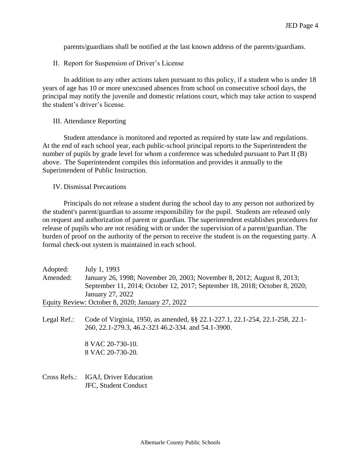parents/guardians shall be notified at the last known address of the parents/guardians.

II. Report for Suspension of Driver's License

In addition to any other actions taken pursuant to this policy, if a student who is under 18 years of age has 10 or more unexcused absences from school on consecutive school days, the principal may notify the juvenile and domestic relations court, which may take action to suspend the student's driver's license.

# III. Attendance Reporting

Student attendance is monitored and reported as required by state law and regulations. At the end of each school year, each public-school principal reports to the Superintendent the number of pupils by grade level for whom a conference was scheduled pursuant to Part II (B) above. The Superintendent compiles this information and provides it annually to the Superintendent of Public Instruction.

# IV. Dismissal Precautions

Principals do not release a student during the school day to any person not authorized by the student's parent/guardian to assume responsibility for the pupil. Students are released only on request and authorization of parent or guardian. The superintendent establishes procedures for release of pupils who are not residing with or under the supervision of a parent/guardian. The burden of proof on the authority of the person to receive the student is on the requesting party. A formal check-out system is maintained in each school.

| Adopted: | July 1, 1993                                                               |
|----------|----------------------------------------------------------------------------|
| Amended: | January 26, 1998; November 20, 2003; November 8, 2012; August 8, 2013;     |
|          | September 11, 2014; October 12, 2017; September 18, 2018; October 8, 2020; |
|          | January 27, 2022                                                           |
|          | Equity Review: October 8, 2020; January 27, 2022                           |

Legal Ref.: Code of Virginia, 1950, as amended, §§ 22.1-227.1, 22.1-254, 22.1-258, 22.1- 260, 22.1-279.3, 46.2-323 46.2-334. and 54.1-3900.

> 8 VAC 20-730-10. 8 VAC 20-730-20.

Cross Refs.: IGAJ, Driver Education JFC, Student Conduct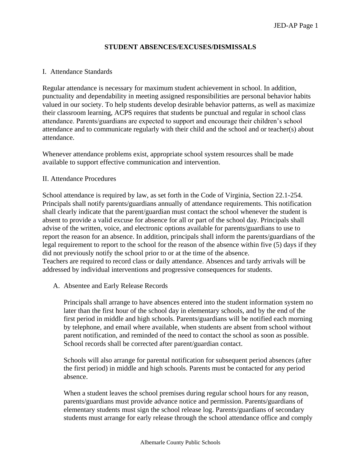# **STUDENT ABSENCES/EXCUSES/DISMISSALS**

# I. Attendance Standards

Regular attendance is necessary for maximum student achievement in school. In addition, punctuality and dependability in meeting assigned responsibilities are personal behavior habits valued in our society. To help students develop desirable behavior patterns, as well as maximize their classroom learning, ACPS requires that students be punctual and regular in school class attendance. Parents/guardians are expected to support and encourage their children's school attendance and to communicate regularly with their child and the school and or teacher(s) about attendance.

Whenever attendance problems exist, appropriate school system resources shall be made available to support effective communication and intervention.

# II. Attendance Procedures

School attendance is required by law, as set forth in the Code of Virginia, Section 22.1-254. Principals shall notify parents/guardians annually of attendance requirements. This notification shall clearly indicate that the parent/guardian must contact the school whenever the student is absent to provide a valid excuse for absence for all or part of the school day. Principals shall advise of the written, voice, and electronic options available for parents/guardians to use to report the reason for an absence. In addition, principals shall inform the parents/guardians of the legal requirement to report to the school for the reason of the absence within five (5) days if they did not previously notify the school prior to or at the time of the absence. Teachers are required to record class or daily attendance. Absences and tardy arrivals will be addressed by individual interventions and progressive consequences for students.

A. Absentee and Early Release Records

Principals shall arrange to have absences entered into the student information system no later than the first hour of the school day in elementary schools, and by the end of the first period in middle and high schools. Parents/guardians will be notified each morning by telephone, and email where available, when students are absent from school without parent notification, and reminded of the need to contact the school as soon as possible. School records shall be corrected after parent/guardian contact.

Schools will also arrange for parental notification for subsequent period absences (after the first period) in middle and high schools. Parents must be contacted for any period absence.

When a student leaves the school premises during regular school hours for any reason, parents/guardians must provide advance notice and permission. Parents/guardians of elementary students must sign the school release log. Parents/guardians of secondary students must arrange for early release through the school attendance office and comply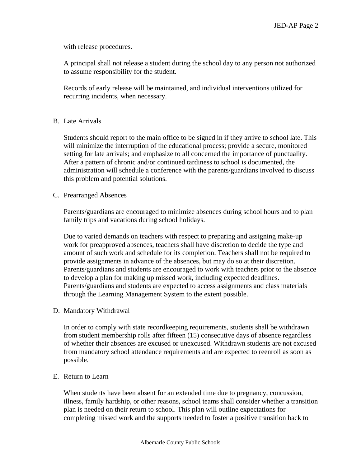with release procedures.

A principal shall not release a student during the school day to any person not authorized to assume responsibility for the student.

Records of early release will be maintained, and individual interventions utilized for recurring incidents, when necessary.

# B. Late Arrivals

Students should report to the main office to be signed in if they arrive to school late. This will minimize the interruption of the educational process; provide a secure, monitored setting for late arrivals; and emphasize to all concerned the importance of punctuality. After a pattern of chronic and/or continued tardiness to school is documented, the administration will schedule a conference with the parents/guardians involved to discuss this problem and potential solutions.

# C. Prearranged Absences

Parents/guardians are encouraged to minimize absences during school hours and to plan family trips and vacations during school holidays.

Due to varied demands on teachers with respect to preparing and assigning make-up work for preapproved absences, teachers shall have discretion to decide the type and amount of such work and schedule for its completion. Teachers shall not be required to provide assignments in advance of the absences, but may do so at their discretion. Parents/guardians and students are encouraged to work with teachers prior to the absence to develop a plan for making up missed work, including expected deadlines. Parents/guardians and students are expected to access assignments and class materials through the Learning Management System to the extent possible.

# D. Mandatory Withdrawal

In order to comply with state recordkeeping requirements, students shall be withdrawn from student membership rolls after fifteen (15) consecutive days of absence regardless of whether their absences are excused or unexcused. Withdrawn students are not excused from mandatory school attendance requirements and are expected to reenroll as soon as possible.

# E. Return to Learn

When students have been absent for an extended time due to pregnancy, concussion, illness, family hardship, or other reasons, school teams shall consider whether a transition plan is needed on their return to school. This plan will outline expectations for completing missed work and the supports needed to foster a positive transition back to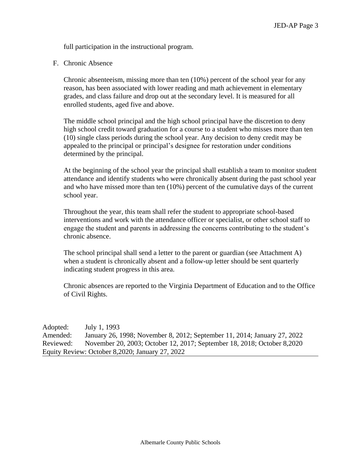full participation in the instructional program.

F. Chronic Absence

Chronic absenteeism, missing more than ten (10%) percent of the school year for any reason, has been associated with lower reading and math achievement in elementary grades, and class failure and drop out at the secondary level. It is measured for all enrolled students, aged five and above.

The middle school principal and the high school principal have the discretion to deny high school credit toward graduation for a course to a student who misses more than ten (10) single class periods during the school year. Any decision to deny credit may be appealed to the principal or principal's designee for restoration under conditions determined by the principal.

At the beginning of the school year the principal shall establish a team to monitor student attendance and identify students who were chronically absent during the past school year and who have missed more than ten (10%) percent of the cumulative days of the current school year.

Throughout the year, this team shall refer the student to appropriate school-based interventions and work with the attendance officer or specialist, or other school staff to engage the student and parents in addressing the concerns contributing to the student's chronic absence.

The school principal shall send a letter to the parent or guardian (see Attachment A) when a student is chronically absent and a follow-up letter should be sent quarterly indicating student progress in this area.

Chronic absences are reported to the Virginia Department of Education and to the Office of Civil Rights.

Adopted: July 1, 1993 Amended: January 26, 1998; November 8, 2012; September 11, 2014; January 27, 2022 Reviewed: November 20, 2003; October 12, 2017; September 18, 2018; October 8,2020 Equity Review: October 8,2020; January 27, 2022